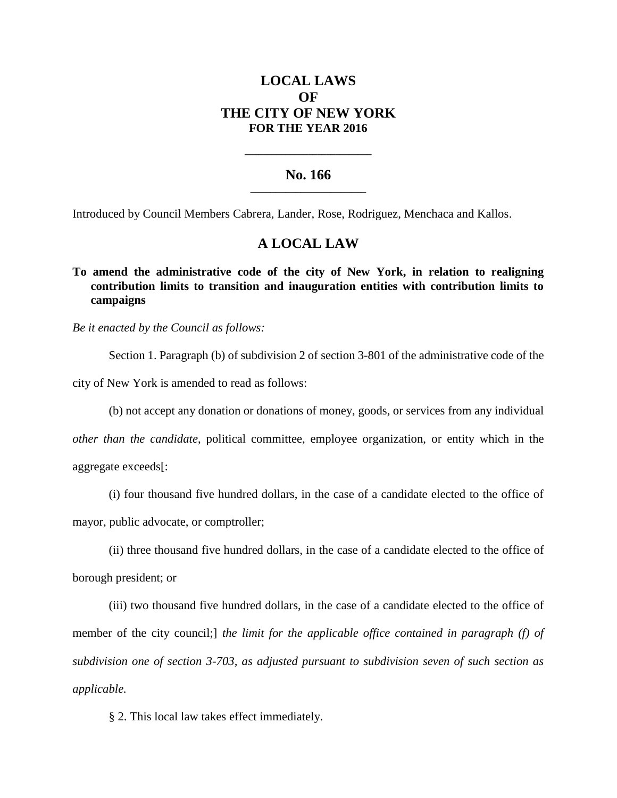# **LOCAL LAWS OF THE CITY OF NEW YORK FOR THE YEAR 2016**

### **No. 166 \_\_\_\_\_\_\_\_\_\_\_\_\_\_\_\_\_\_\_\_\_\_\_**

**\_\_\_\_\_\_\_\_\_\_\_\_\_\_\_\_\_\_\_\_\_\_\_\_\_\_\_\_**

Introduced by Council Members Cabrera, Lander, Rose, Rodriguez, Menchaca and Kallos.

### **A LOCAL LAW**

## **To amend the administrative code of the city of New York, in relation to realigning contribution limits to transition and inauguration entities with contribution limits to campaigns**

*Be it enacted by the Council as follows:*

Section 1. Paragraph (b) of subdivision 2 of section 3-801 of the administrative code of the city of New York is amended to read as follows:

(b) not accept any donation or donations of money, goods, or services from any individual

*other than the candidate*, political committee, employee organization, or entity which in the aggregate exceeds[:

(i) four thousand five hundred dollars, in the case of a candidate elected to the office of mayor, public advocate, or comptroller;

(ii) three thousand five hundred dollars, in the case of a candidate elected to the office of borough president; or

(iii) two thousand five hundred dollars, in the case of a candidate elected to the office of member of the city council;] *the limit for the applicable office contained in paragraph (f) of subdivision one of section 3-703, as adjusted pursuant to subdivision seven of such section as applicable.*

§ 2. This local law takes effect immediately.